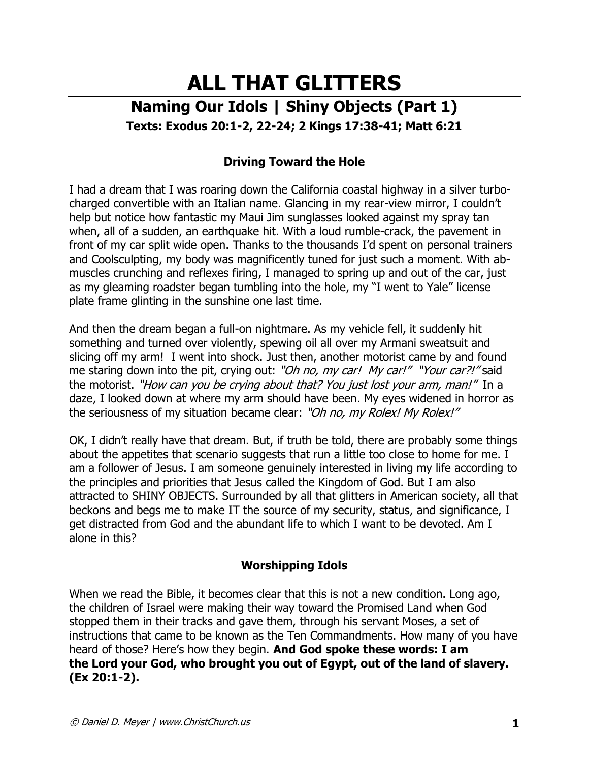# **ALL THAT GLITTERS Naming Our Idols | Shiny Objects (Part 1) Texts: Exodus 20:1-2, 22-24; 2 Kings 17:38-41; Matt 6:21**

# **Driving Toward the Hole**

I had a dream that I was roaring down the California coastal highway in a silver turbocharged convertible with an Italian name. Glancing in my rear-view mirror, I couldn't help but notice how fantastic my Maui Jim sunglasses looked against my spray tan when, all of a sudden, an earthquake hit. With a loud rumble-crack, the pavement in front of my car split wide open. Thanks to the thousands I'd spent on personal trainers and Coolsculpting, my body was magnificently tuned for just such a moment. With abmuscles crunching and reflexes firing, I managed to spring up and out of the car, just as my gleaming roadster began tumbling into the hole, my "I went to Yale" license plate frame glinting in the sunshine one last time.

And then the dream began a full-on nightmare. As my vehicle fell, it suddenly hit something and turned over violently, spewing oil all over my Armani sweatsuit and slicing off my arm! I went into shock. Just then, another motorist came by and found me staring down into the pit, crying out: "Oh no, my car! My car!" "Your car?!" said the motorist. "How can you be crying about that? You just lost your arm, man!" In a daze, I looked down at where my arm should have been. My eyes widened in horror as the seriousness of my situation became clear: "Oh no, my Rolex! My Rolex!"

OK, I didn't really have that dream. But, if truth be told, there are probably some things about the appetites that scenario suggests that run a little too close to home for me. I am a follower of Jesus. I am someone genuinely interested in living my life according to the principles and priorities that Jesus called the Kingdom of God. But I am also attracted to SHINY OBJECTS. Surrounded by all that glitters in American society, all that beckons and begs me to make IT the source of my security, status, and significance, I get distracted from God and the abundant life to which I want to be devoted. Am I alone in this?

## **Worshipping Idols**

When we read the Bible, it becomes clear that this is not a new condition. Long ago, the children of Israel were making their way toward the Promised Land when God stopped them in their tracks and gave them, through his servant Moses, a set of instructions that came to be known as the Ten Commandments. How many of you have heard of those? Here's how they begin. **And God spoke these words: I am the Lord your God, who brought you out of Egypt, out of the land of slavery. (Ex 20:1-2).**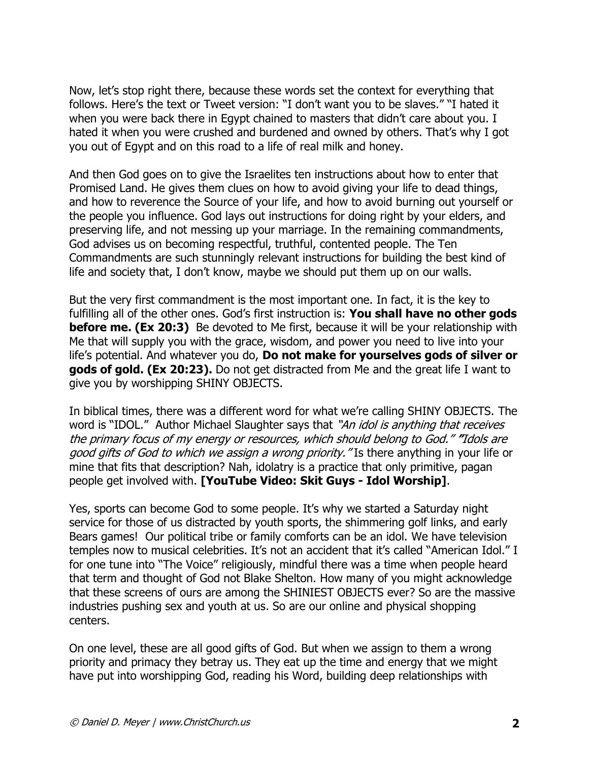Now, let's stop right there, because these words set the context for everything that follows. Here's the text or Tweet version: "I don't want you to be slaves." "I hated it when you were back there in Egypt chained to masters that didn't care about you. I hated it when you were crushed and burdened and owned by others. That's why I got you out of Egypt and on this road to a life of real milk and honey.

And then God goes on to give the Israelites ten instructions about how to enter that Promised Land. He gives them clues on how to avoid giving your life to dead things, and how to reverence the Source of your life, and how to avoid burning out yourself or the people you influence. God lays out instructions for doing right by your elders, and preserving life, and not messing up your marriage. In the remaining commandments, God advises us on becoming respectful, truthful, contented people. The Ten Commandments are such stunningly relevant instructions for building the best kind of life and society that, I don't know, maybe we should put them up on our walls.

But the very first commandment is the most important one. In fact, it is the key to fulfilling all of the other ones. God's first instruction is: **You shall have no other gods before me. (Ex 20:3)** Be devoted to Me first, because it will be your relationship with Me that will supply you with the grace, wisdom, and power you need to live into your life's potential. And whatever you do, **Do not make for yourselves gods of silver or gods of gold. (Ex 20:23).** Do not get distracted from Me and the great life I want to give you by worshipping SHINY OBJECTS.

In biblical times, there was a different word for what we're calling SHINY OBJECTS. The word is "IDOL." Author Michael Slaughter says that "An idol is anything that receives the primary focus of my energy or resources, which should belong to God." **"**Idols are good gifts of God to which we assign a wrong priority." Is there anything in your life or mine that fits that description? Nah, idolatry is a practice that only primitive, pagan people get involved with. **[YouTube Video: Skit Guys - Idol Worship]**.

Yes, sports can become God to some people. It's why we started a Saturday night service for those of us distracted by youth sports, the shimmering golf links, and early Bears games! Our political tribe or family comforts can be an idol. We have television temples now to musical celebrities. It's not an accident that it's called "American Idol." I for one tune into "The Voice" religiously, mindful there was a time when people heard that term and thought of God not Blake Shelton. How many of you might acknowledge that these screens of ours are among the SHINIEST OBJECTS ever? So are the massive industries pushing sex and youth at us. So are our online and physical shopping centers.

On one level, these are all good gifts of God. But when we assign to them a wrong priority and primacy they betray us. They eat up the time and energy that we might have put into worshipping God, reading his Word, building deep relationships with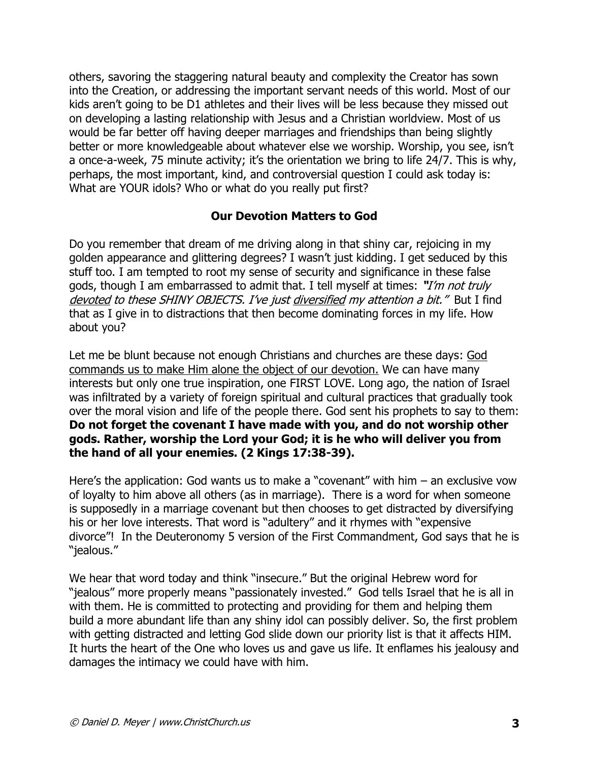others, savoring the staggering natural beauty and complexity the Creator has sown into the Creation, or addressing the important servant needs of this world. Most of our kids aren't going to be D1 athletes and their lives will be less because they missed out on developing a lasting relationship with Jesus and a Christian worldview. Most of us would be far better off having deeper marriages and friendships than being slightly better or more knowledgeable about whatever else we worship. Worship, you see, isn't a once-a-week, 75 minute activity; it's the orientation we bring to life 24/7. This is why, perhaps, the most important, kind, and controversial question I could ask today is: What are YOUR idols? Who or what do you really put first?

## **Our Devotion Matters to God**

Do you remember that dream of me driving along in that shiny car, rejoicing in my golden appearance and glittering degrees? I wasn't just kidding. I get seduced by this stuff too. I am tempted to root my sense of security and significance in these false gods, though I am embarrassed to admit that. I tell myself at times: **"**I'm not truly devoted to these SHINY OBJECTS. I've just diversified my attention a bit." But I find that as I give in to distractions that then become dominating forces in my life. How about you?

Let me be blunt because not enough Christians and churches are these days: God commands us to make Him alone the object of our devotion. We can have many interests but only one true inspiration, one FIRST LOVE. Long ago, the nation of Israel was infiltrated by a variety of foreign spiritual and cultural practices that gradually took over the moral vision and life of the people there. God sent his prophets to say to them: **Do not forget the covenant I have made with you, and do not worship other gods. Rather, worship the Lord your God; it is he who will deliver you from the hand of all your enemies. (2 Kings 17:38-39).** 

Here's the application: God wants us to make a "covenant" with him – an exclusive vow of loyalty to him above all others (as in marriage). There is a word for when someone is supposedly in a marriage covenant but then chooses to get distracted by diversifying his or her love interests. That word is "adultery" and it rhymes with "expensive divorce"! In the Deuteronomy 5 version of the First Commandment, God says that he is "jealous."

We hear that word today and think "insecure." But the original Hebrew word for "jealous" more properly means "passionately invested." God tells Israel that he is all in with them. He is committed to protecting and providing for them and helping them build a more abundant life than any shiny idol can possibly deliver. So, the first problem with getting distracted and letting God slide down our priority list is that it affects HIM. It hurts the heart of the One who loves us and gave us life. It enflames his jealousy and damages the intimacy we could have with him.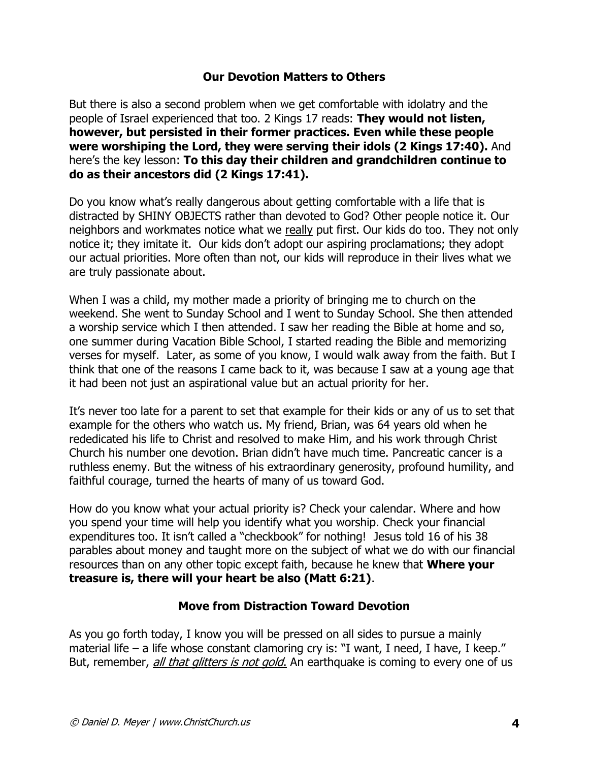#### **Our Devotion Matters to Others**

But there is also a second problem when we get comfortable with idolatry and the people of Israel experienced that too. 2 Kings 17 reads: **They would not listen, however, but persisted in their former practices. Even while these people were worshiping the Lord, they were serving their idols (2 Kings 17:40).** And here's the key lesson: **To this day their children and grandchildren continue to do as their ancestors did (2 Kings 17:41).** 

Do you know what's really dangerous about getting comfortable with a life that is distracted by SHINY OBJECTS rather than devoted to God? Other people notice it. Our neighbors and workmates notice what we really put first. Our kids do too. They not only notice it; they imitate it. Our kids don't adopt our aspiring proclamations; they adopt our actual priorities. More often than not, our kids will reproduce in their lives what we are truly passionate about.

When I was a child, my mother made a priority of bringing me to church on the weekend. She went to Sunday School and I went to Sunday School. She then attended a worship service which I then attended. I saw her reading the Bible at home and so, one summer during Vacation Bible School, I started reading the Bible and memorizing verses for myself. Later, as some of you know, I would walk away from the faith. But I think that one of the reasons I came back to it, was because I saw at a young age that it had been not just an aspirational value but an actual priority for her.

It's never too late for a parent to set that example for their kids or any of us to set that example for the others who watch us. My friend, Brian, was 64 years old when he rededicated his life to Christ and resolved to make Him, and his work through Christ Church his number one devotion. Brian didn't have much time. Pancreatic cancer is a ruthless enemy. But the witness of his extraordinary generosity, profound humility, and faithful courage, turned the hearts of many of us toward God.

How do you know what your actual priority is? Check your calendar. Where and how you spend your time will help you identify what you worship. Check your financial expenditures too. It isn't called a "checkbook" for nothing! Jesus told 16 of his 38 parables about money and taught more on the subject of what we do with our financial resources than on any other topic except faith, because he knew that **Where your treasure is, there will your heart be also (Matt 6:21)**.

### **Move from Distraction Toward Devotion**

As you go forth today, I know you will be pressed on all sides to pursue a mainly material life – a life whose constant clamoring cry is: "I want, I need, I have, I keep." But, remember, all that glitters is not gold. An earthquake is coming to every one of us